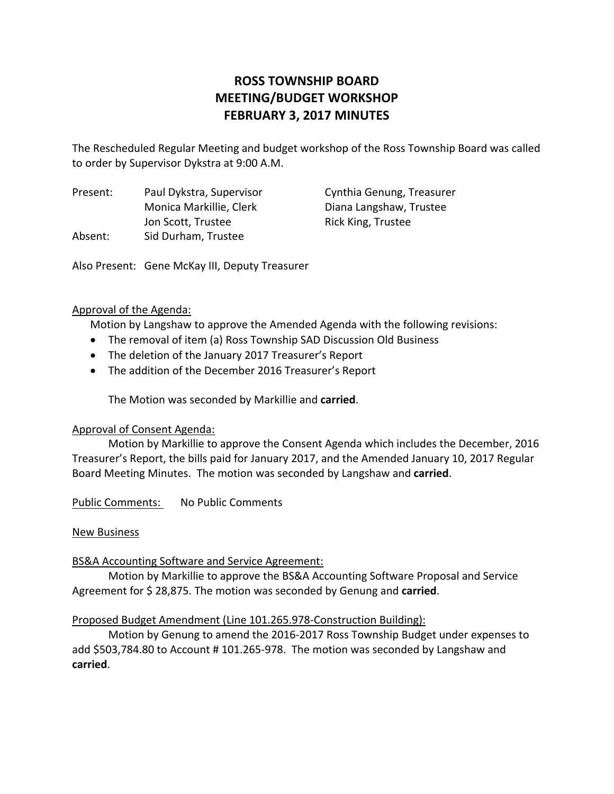# **ROSS TOWNSHIP BOARD MEETING/BUDGET WORKSHOP FEBRUARY 3, 2017 MINUTES**

The Rescheduled Regular Meeting and budget workshop of the Ross Township Board was called to order by Supervisor Dykstra at 9:00 A.M.

Present: Paul Dykstra, Supervisor Cynthia Genung, Treasurer Monica Markillie, Clerk Diana Langshaw, Trustee Jon Scott, Trustee **and Rick King, Trustee** Absent: Sid Durham, Trustee

Also Present: Gene McKay III, Deputy Treasurer

# Approval of the Agenda:

Motion by Langshaw to approve the Amended Agenda with the following revisions:

- The removal of item (a) Ross Township SAD Discussion Old Business
- The deletion of the January 2017 Treasurer's Report
- The addition of the December 2016 Treasurer's Report

The Motion was seconded by Markillie and **carried**.

## Approval of Consent Agenda:

Motion by Markillie to approve the Consent Agenda which includes the December, 2016 Treasurer's Report, the bills paid for January 2017, and the Amended January 10, 2017 Regular Board Meeting Minutes. The motion was seconded by Langshaw and **carried**.

Public Comments: No Public Comments

## New Business

## BS&A Accounting Software and Service Agreement:

Motion by Markillie to approve the BS&A Accounting Software Proposal and Service Agreement for \$ 28,875. The motion was seconded by Genung and **carried**.

## Proposed Budget Amendment (Line 101.265.978‐Construction Building):

Motion by Genung to amend the 2016‐2017 Ross Township Budget under expenses to add \$503,784.80 to Account # 101.265‐978. The motion was seconded by Langshaw and **carried**.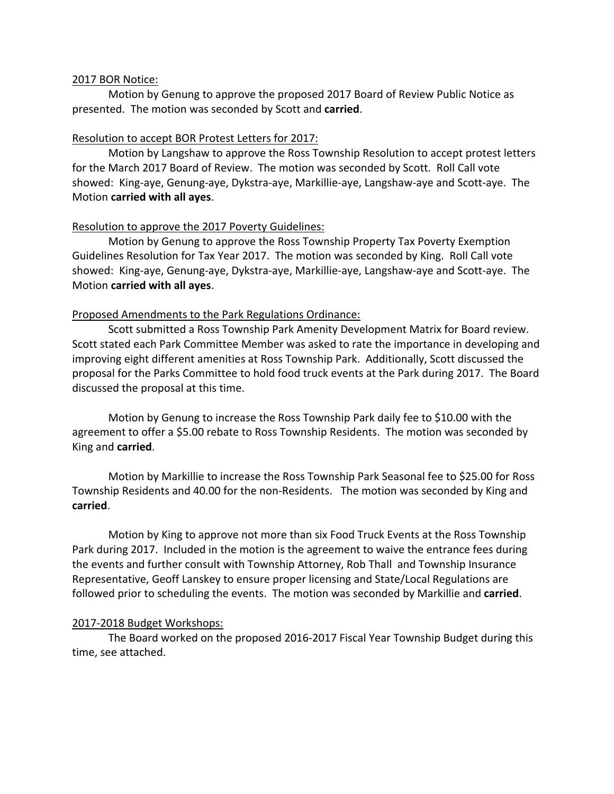#### 2017 BOR Notice:

Motion by Genung to approve the proposed 2017 Board of Review Public Notice as presented. The motion was seconded by Scott and **carried**.

## Resolution to accept BOR Protest Letters for 2017:

Motion by Langshaw to approve the Ross Township Resolution to accept protest letters for the March 2017 Board of Review. The motion was seconded by Scott. Roll Call vote showed: King‐aye, Genung‐aye, Dykstra‐aye, Markillie‐aye, Langshaw‐aye and Scott‐aye. The Motion **carried with all ayes**.

## Resolution to approve the 2017 Poverty Guidelines:

Motion by Genung to approve the Ross Township Property Tax Poverty Exemption Guidelines Resolution for Tax Year 2017. The motion was seconded by King. Roll Call vote showed: King-aye, Genung-aye, Dykstra-aye, Markillie-aye, Langshaw-aye and Scott-aye. The Motion **carried with all ayes**.

## Proposed Amendments to the Park Regulations Ordinance:

Scott submitted a Ross Township Park Amenity Development Matrix for Board review. Scott stated each Park Committee Member was asked to rate the importance in developing and improving eight different amenities at Ross Township Park. Additionally, Scott discussed the proposal for the Parks Committee to hold food truck events at the Park during 2017. The Board discussed the proposal at this time.

Motion by Genung to increase the Ross Township Park daily fee to \$10.00 with the agreement to offer a \$5.00 rebate to Ross Township Residents. The motion was seconded by King and **carried**.

Motion by Markillie to increase the Ross Township Park Seasonal fee to \$25.00 for Ross Township Residents and 40.00 for the non‐Residents. The motion was seconded by King and **carried**.

Motion by King to approve not more than six Food Truck Events at the Ross Township Park during 2017. Included in the motion is the agreement to waive the entrance fees during the events and further consult with Township Attorney, Rob Thall and Township Insurance Representative, Geoff Lanskey to ensure proper licensing and State/Local Regulations are followed prior to scheduling the events. The motion was seconded by Markillie and **carried**.

## 2017‐2018 Budget Workshops:

The Board worked on the proposed 2016‐2017 Fiscal Year Township Budget during this time, see attached.